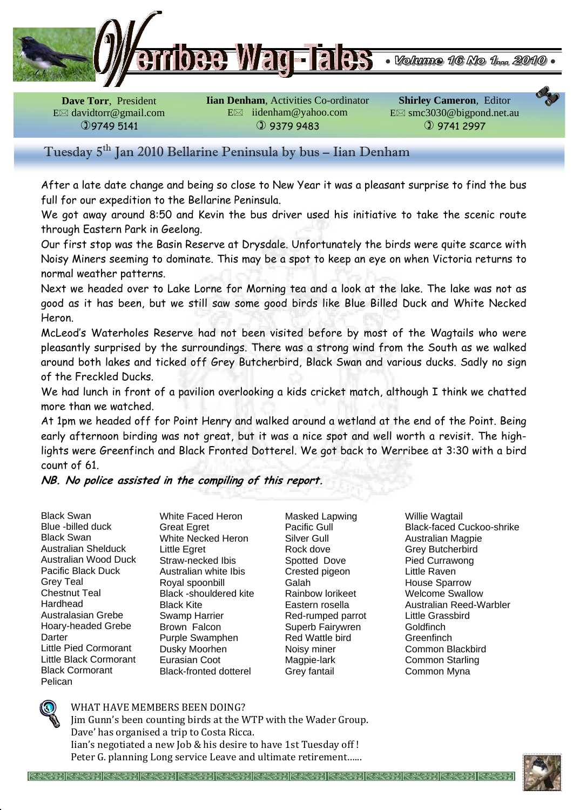

**Dave Torr**, President E davidtorr@gmail.com 9749 5141

**Iian Denham**, Activities Co-ordinator E iidenham@yahoo.com  9379 9483

**Shirley Cameron**, Editor E smc3030@bigpond.net.au  9741 2997

# Tuesday 5<sup>th</sup> Jan 2010 Bellarine Peninsula by bus - Iian Denham

After a late date change and being so close to New Year it was a pleasant surprise to find the bus full for our expedition to the Bellarine Peninsula.

We got away around 8:50 and Kevin the bus driver used his initiative to take the scenic route through Eastern Park in Geelong.

Our first stop was the Basin Reserve at Drysdale. Unfortunately the birds were quite scarce with Noisy Miners seeming to dominate. This may be a spot to keep an eye on when Victoria returns to normal weather patterns.

Next we headed over to Lake Lorne for Morning tea and a look at the lake. The lake was not as good as it has been, but we still saw some good birds like Blue Billed Duck and White Necked Heron.

McLeod's Waterholes Reserve had not been visited before by most of the Wagtails who were pleasantly surprised by the surroundings. There was a strong wind from the South as we walked around both lakes and ticked off Grey Butcherbird, Black Swan and various ducks. Sadly no sign of the Freckled Ducks.

We had lunch in front of a pavilion overlooking a kids cricket match, although I think we chatted more than we watched.

At 1pm we headed off for Point Henry and walked around a wetland at the end of the Point. Being early afternoon birding was not great, but it was a nice spot and well worth a revisit. The highlights were Greenfinch and Black Fronted Dotterel. We got back to Werribee at 3:30 with a bird count of 61.

**NB. No police assisted in the compiling of this report.** 

Black Swan Blue -billed duck Black Swan Australian Shelduck Australian Wood Duck Pacific Black Duck Grey Teal Chestnut Teal Hardhead Australasian Grebe Hoary-headed Grebe Darter Little Pied Cormorant Little Black Cormorant Black Cormorant Pelican

White Faced Heron Great Egret White Necked Heron Little Egret Straw-necked Ibis Australian white Ibis Royal spoonbill Black -shouldered kite Black Kite Swamp Harrier Brown Falcon Purple Swamphen Dusky Moorhen Eurasian Coot Black-fronted dotterel

Masked Lapwing Pacific Gull Silver Gull Rock dove Spotted Dove Crested pigeon Galah Rainbow lorikeet Eastern rosella Red-rumped parrot Superb Fairywren Red Wattle bird Noisy miner Magpie-lark Grey fantail

Willie Wagtail Black-faced Cuckoo-shrike Australian Magpie Grey Butcherbird Pied Currawong Little Raven House Sparrow Welcome Swallow Australian Reed-Warbler Little Grassbird **Goldfinch Greenfinch** Common Blackbird Common Starling Common Myna



#### WHAT HAVE MEMBERS BEEN DOING?

Jim Gunn's been counting birds at the WTP with the Wader Group. Dave' has organised a trip to Costa Ricca. Iian's negotiated a new Job & his desire to have 1st Tuesday off ! Peter G. planning Long service Leave and ultimate retirement…...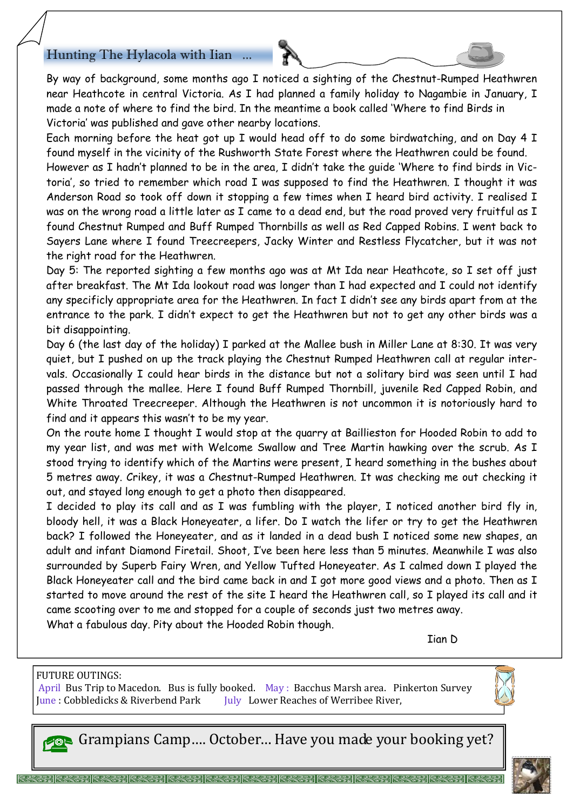## Hunting The Hylacola with Iian.

By way of background, some months ago I noticed a sighting of the Chestnut-Rumped Heathwren near Heathcote in central Victoria. As I had planned a family holiday to Nagambie in January, I made a note of where to find the bird. In the meantime a book called 'Where to find Birds in Victoria' was published and gave other nearby locations.

Each morning before the heat got up I would head off to do some birdwatching, and on Day 4 I found myself in the vicinity of the Rushworth State Forest where the Heathwren could be found. However as I hadn't planned to be in the area, I didn't take the guide 'Where to find birds in Victoria', so tried to remember which road I was supposed to find the Heathwren. I thought it was Anderson Road so took off down it stopping a few times when I heard bird activity. I realised I was on the wrong road a little later as I came to a dead end, but the road proved very fruitful as I found Chestnut Rumped and Buff Rumped Thornbills as well as Red Capped Robins. I went back to Sayers Lane where I found Treecreepers, Jacky Winter and Restless Flycatcher, but it was not the right road for the Heathwren.

Day 5: The reported sighting a few months ago was at Mt Ida near Heathcote, so I set off just after breakfast. The Mt Ida lookout road was longer than I had expected and I could not identify any specificly appropriate area for the Heathwren. In fact I didn't see any birds apart from at the entrance to the park. I didn't expect to get the Heathwren but not to get any other birds was a bit disappointing.

Day 6 (the last day of the holiday) I parked at the Mallee bush in Miller Lane at 8:30. It was very quiet, but I pushed on up the track playing the Chestnut Rumped Heathwren call at regular intervals. Occasionally I could hear birds in the distance but not a solitary bird was seen until I had passed through the mallee. Here I found Buff Rumped Thornbill, juvenile Red Capped Robin, and White Throated Treecreeper. Although the Heathwren is not uncommon it is notoriously hard to find and it appears this wasn't to be my year.

On the route home I thought I would stop at the quarry at Baillieston for Hooded Robin to add to my year list, and was met with Welcome Swallow and Tree Martin hawking over the scrub. As I stood trying to identify which of the Martins were present, I heard something in the bushes about 5 metres away. Crikey, it was a Chestnut-Rumped Heathwren. It was checking me out checking it out, and stayed long enough to get a photo then disappeared.

I decided to play its call and as I was fumbling with the player, I noticed another bird fly in, bloody hell, it was a Black Honeyeater, a lifer. Do I watch the lifer or try to get the Heathwren back? I followed the Honeyeater, and as it landed in a dead bush I noticed some new shapes, an adult and infant Diamond Firetail. Shoot, I've been here less than 5 minutes. Meanwhile I was also surrounded by Superb Fairy Wren, and Yellow Tufted Honeyeater. As I calmed down I played the Black Honeyeater call and the bird came back in and I got more good views and a photo. Then as I started to move around the rest of the site I heard the Heathwren call, so I played its call and it came scooting over to me and stopped for a couple of seconds just two metres away. What a fabulous day. Pity about the Hooded Robin though.

Iian D

#### FUTURE OUTINGS:

April Bus Trip to Macedon. Bus is fully booked. May: Bacchus Marsh area. Pinkerton Survey June : Cobbledicks & Riverbend Park July Lower Reaches of Werribee River,



Grampians Camp…. October… Have you made your booking yet?

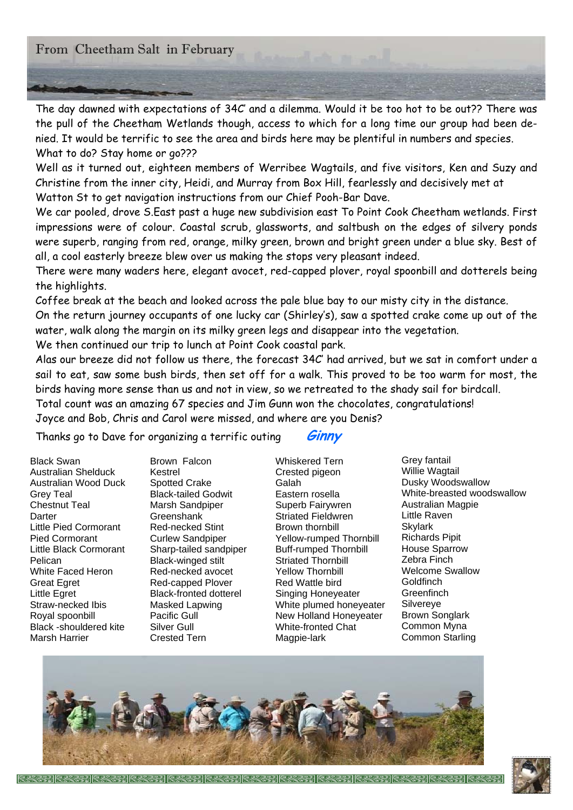## From Cheetham Salt in February

The day dawned with expectations of 34C' and a dilemma. Would it be too hot to be out?? There was the pull of the Cheetham Wetlands though, access to which for a long time our group had been denied. It would be terrific to see the area and birds here may be plentiful in numbers and species. What to do? Stay home or go???

Well as it turned out, eighteen members of Werribee Wagtails, and five visitors, Ken and Suzy and Christine from the inner city, Heidi, and Murray from Box Hill, fearlessly and decisively met at Watton St to get navigation instructions from our Chief Pooh-Bar Dave.

We car pooled, drove S.East past a huge new subdivision east To Point Cook Cheetham wetlands. First impressions were of colour. Coastal scrub, glassworts, and saltbush on the edges of silvery ponds were superb, ranging from red, orange, milky green, brown and bright green under a blue sky. Best of all, a cool easterly breeze blew over us making the stops very pleasant indeed.

There were many waders here, elegant avocet, red-capped plover, royal spoonbill and dotterels being the highlights.

Coffee break at the beach and looked across the pale blue bay to our misty city in the distance. On the return journey occupants of one lucky car (Shirley's), saw a spotted crake come up out of the water, walk along the margin on its milky green legs and disappear into the vegetation.

We then continued our trip to lunch at Point Cook coastal park.

Alas our breeze did not follow us there, the forecast 34C' had arrived, but we sat in comfort under a sail to eat, saw some bush birds, then set off for a walk. This proved to be too warm for most, the birds having more sense than us and not in view, so we retreated to the shady sail for birdcall.

Total count was an amazing 67 species and Jim Gunn won the chocolates, congratulations!

Joyce and Bob, Chris and Carol were missed, and where are you Denis?

Thanks go to Dave for organizing a terrific outing **Ginny** 

Black Swan Australian Shelduck Australian Wood Duck Grey Teal Chestnut Teal **Darter** Little Pied Cormorant Pied Cormorant Little Black Cormorant Pelican White Faced Heron Great Egret Little Egret Straw-necked Ibis Royal spoonbill Black -shouldered kite Marsh Harrier

Brown Falcon Kestrel Spotted Crake Black-tailed Godwit Marsh Sandpiper **Greenshank** Red-necked Stint Curlew Sandpiper Sharp-tailed sandpiper Black-winged stilt Red-necked avocet Red-capped Plover Black-fronted dotterel Masked Lapwing Pacific Gull Silver Gull Crested Tern

Whiskered Tern Crested pigeon Galah Eastern rosella Superb Fairywren Striated Fieldwren Brown thornbill Yellow-rumped Thornbill Buff-rumped Thornbill Striated Thornbill Yellow Thornbill Red Wattle bird Singing Honeyeater White plumed honeyeater New Holland Honeyeater White-fronted Chat Magpie-lark

Grey fantail Willie Wagtail Dusky Woodswallow White-breasted woodswallow Australian Magpie Little Raven Skylark Richards Pipit House Sparrow Zebra Finch Welcome Swallow **Goldfinch Greenfinch** Silvereye Brown Songlark Common Myna Common Starling